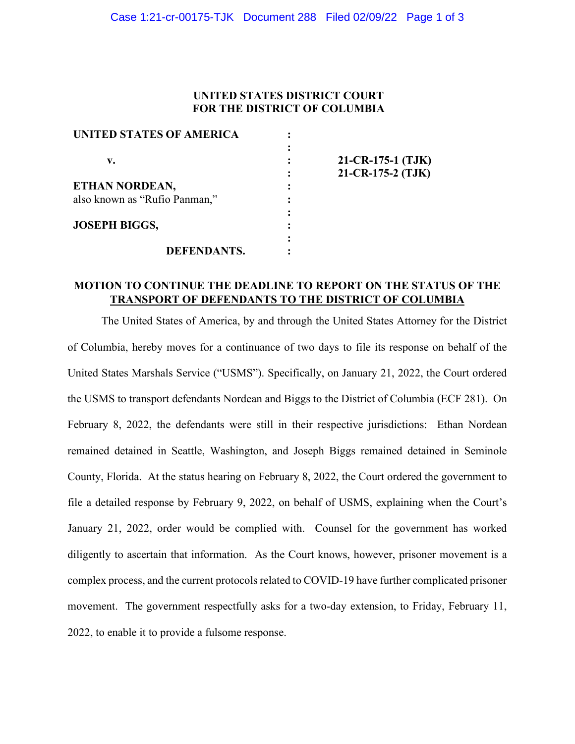## **UNITED STATES DISTRICT COURT FOR THE DISTRICT OF COLUMBIA**

| UNITED STATES OF AMERICA      |                   |
|-------------------------------|-------------------|
|                               |                   |
| v.                            | 21-CR-175-1 (TJK) |
|                               | 21-CR-175-2 (TJK) |
| ETHAN NORDEAN,                |                   |
| also known as "Rufio Panman," |                   |
|                               |                   |
| <b>JOSEPH BIGGS,</b>          |                   |
|                               |                   |
| <b>DEFENDANTS.</b>            |                   |

## **MOTION TO CONTINUE THE DEADLINE TO REPORT ON THE STATUS OF THE TRANSPORT OF DEFENDANTS TO THE DISTRICT OF COLUMBIA**

The United States of America, by and through the United States Attorney for the District of Columbia, hereby moves for a continuance of two days to file its response on behalf of the United States Marshals Service ("USMS"). Specifically, on January 21, 2022, the Court ordered the USMS to transport defendants Nordean and Biggs to the District of Columbia (ECF 281). On February 8, 2022, the defendants were still in their respective jurisdictions: Ethan Nordean remained detained in Seattle, Washington, and Joseph Biggs remained detained in Seminole County, Florida. At the status hearing on February 8, 2022, the Court ordered the government to file a detailed response by February 9, 2022, on behalf of USMS, explaining when the Court's January 21, 2022, order would be complied with. Counsel for the government has worked diligently to ascertain that information. As the Court knows, however, prisoner movement is a complex process, and the current protocols related to COVID-19 have further complicated prisoner movement. The government respectfully asks for a two-day extension, to Friday, February 11, 2022, to enable it to provide a fulsome response.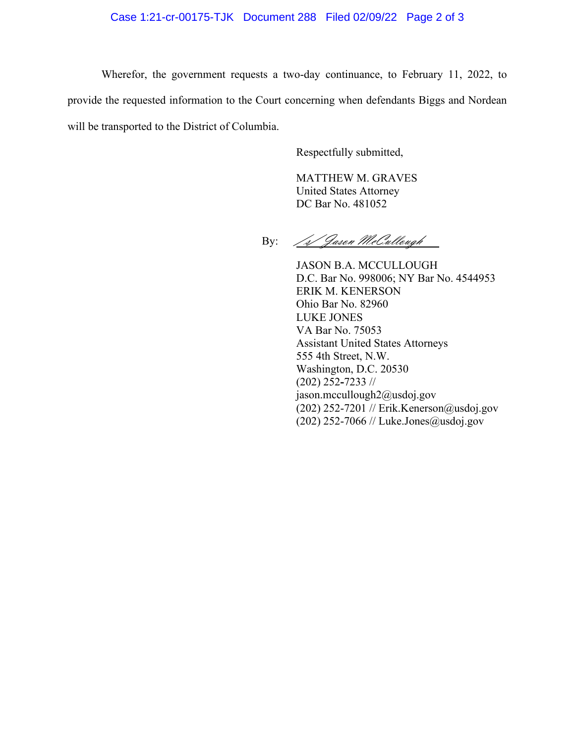## Case 1:21-cr-00175-TJK Document 288 Filed 02/09/22 Page 2 of 3

Wherefor, the government requests a two-day continuance, to February 11, 2022, to provide the requested information to the Court concerning when defendants Biggs and Nordean will be transported to the District of Columbia.

Respectfully submitted,

MATTHEW M. GRAVES United States Attorney DC Bar No. 481052

By: /1/ Jason McCullough

JASON B.A. MCCULLOUGH D.C. Bar No. 998006; NY Bar No. 4544953 ERIK M. KENERSON Ohio Bar No. 82960 LUKE JONES VA Bar No. 75053 Assistant United States Attorneys 555 4th Street, N.W. Washington, D.C. 20530 (202) 252**-**7233 // jason.mccullough2@usdoj.gov (202) 252-7201 // Erik.Kenerson@usdoj.gov (202) 252-7066 // Luke.Jones@usdoj.gov